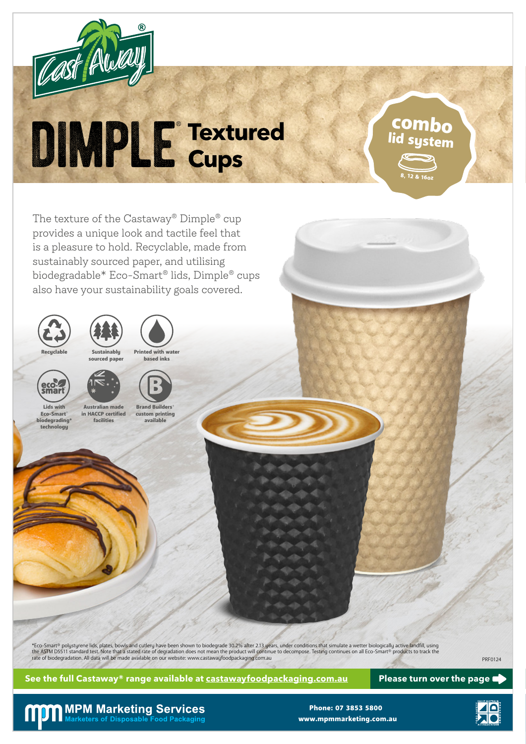

# DIMPLE Textured

The texture of the Castaway<sup>®</sup> Dimple<sup>®</sup> cup provides a unique look and tactile feel that is a pleasure to hold. Recyclable, made from sustainably sourced paper, and utilising biodegradable\* Eco-Smart® lids, Dimple® cups also have your sustainability goals covered.







Sustainably sourced paper

facilities



technology

Lids with Eco-Smart® **biodegrading\***  custom printing available



Australian made in HACCP certified

**Brand Builders** 

\*Eco-Smart® polystyrene lids, plates, bowls and cutlery have been shown to biodegrade 30.2% after 2.13 years, under conditions that simulate a wetter biologically active landfill, using the ASTM D5511 standard test. Note that a stated rate of degradation does not mean the product will continue to decompose. Testing continues on all Eco-Smart® products to track the products to track the products to track t

**See the full Castaway® range available at castawayfoodpackaging.com.au Please turn over the page**

8, 12 & 16oz

combo lid system

## **MPM Marketing Services** Marketers of Disposable Food Packaging

www.mpmmarketing.com.au Phone: 07 3853 5800